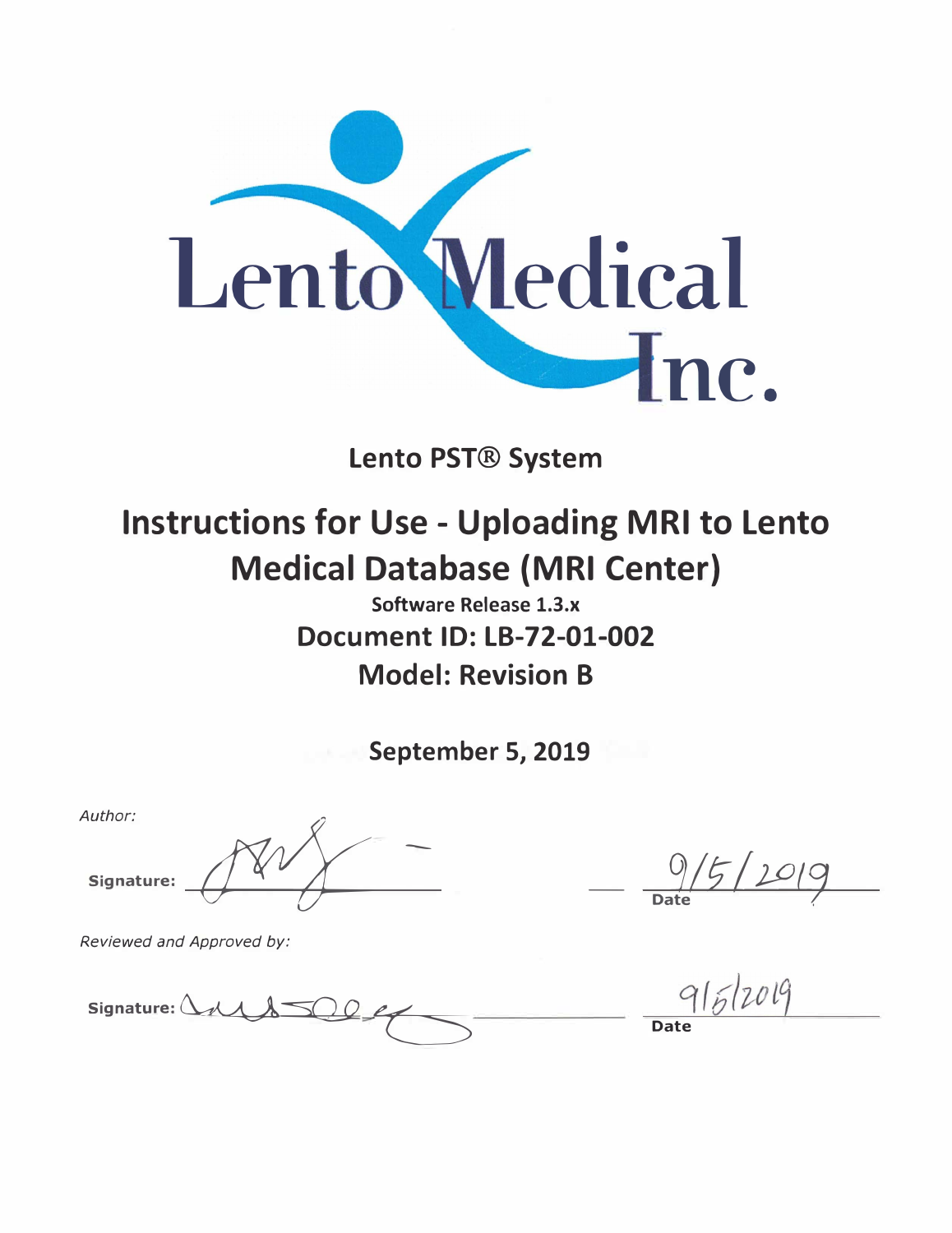

# **Lento PST® System**

# **Instructions for Use - Uploading MRI to Lento Medical Database (MRI Center)**

**Software Release 1.3.x Document ID: LB-72-01-002 Model: Revision B** 

**September 5, 2019** 

*Author:*   $\begin{picture}(180,10) \put(0,0){\dashbox{0.5}(10,0){ }} \put(10,0){\dashbox{0.5}(10,0){ }} \put(10,0){\dashbox{0.5}(10,0){ }} \put(10,0){\dashbox{0.5}(10,0){ }} \put(10,0){\dashbox{0.5}(10,0){ }} \put(10,0){\dashbox{0.5}(10,0){ }} \put(10,0){\dashbox{0.5}(10,0){ }} \put(10,0){\dashbox{0.5}(10,0){ }} \put(10,0){\dashbox{0.5}(10,0){ }} \put(10,0){\dashbox$ 

*Reviewed and Approved by:* 

**Signature:**  $\Delta \sim 1.500 \, \text{eV}$ 

 $\frac{0}{5}$ /2019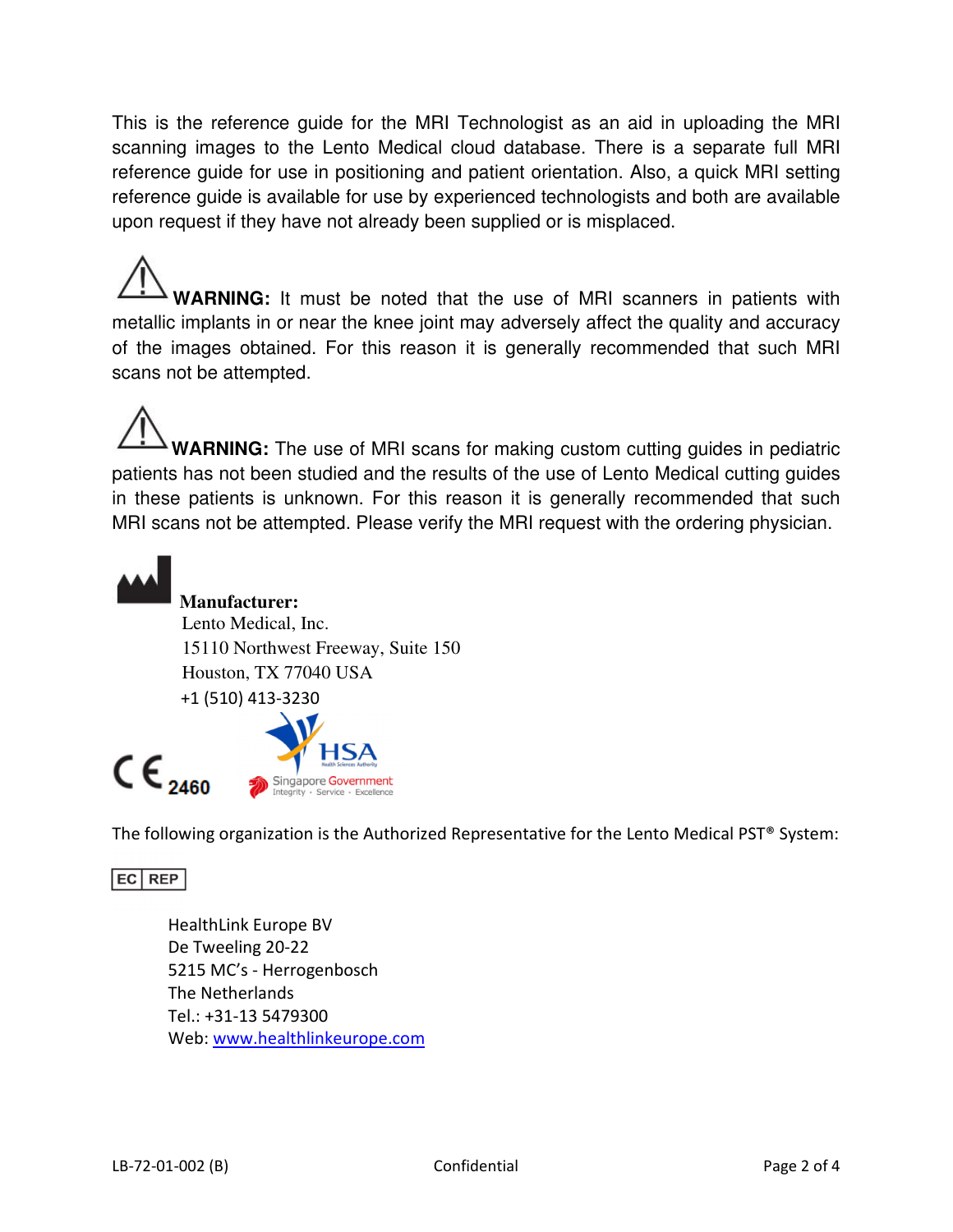This is the reference guide for the MRI Technologist as an aid in uploading the MRI scanning images to the Lento Medical cloud database. There is a separate full MRI reference guide for use in positioning and patient orientation. Also, a quick MRI setting reference guide is available for use by experienced technologists and both are available upon request if they have not already been supplied or is misplaced.

**WARNING:** It must be noted that the use of MRI scanners in patients with metallic implants in or near the knee joint may adversely affect the quality and accuracy of the images obtained. For this reason it is generally recommended that such MRI scans not be attempted.

**WARNING:** The use of MRI scans for making custom cutting guides in pediatric patients has not been studied and the results of the use of Lento Medical cutting guides in these patients is unknown. For this reason it is generally recommended that such MRI scans not be attempted. Please verify the MRI request with the ordering physician.



# **Manufacturer:**

 Lento Medical, Inc. 15110 Northwest Freeway, Suite 150 Houston, TX 77040 USA +1 (510) 413-3230



The following organization is the Authorized Representative for the Lento Medical PST® System:

EC REP

HealthLink Europe BV De Tweeling 20-22 5215 MC's - Herrogenbosch The Netherlands Tel.: +31-13 5479300 Web: www.healthlinkeurope.com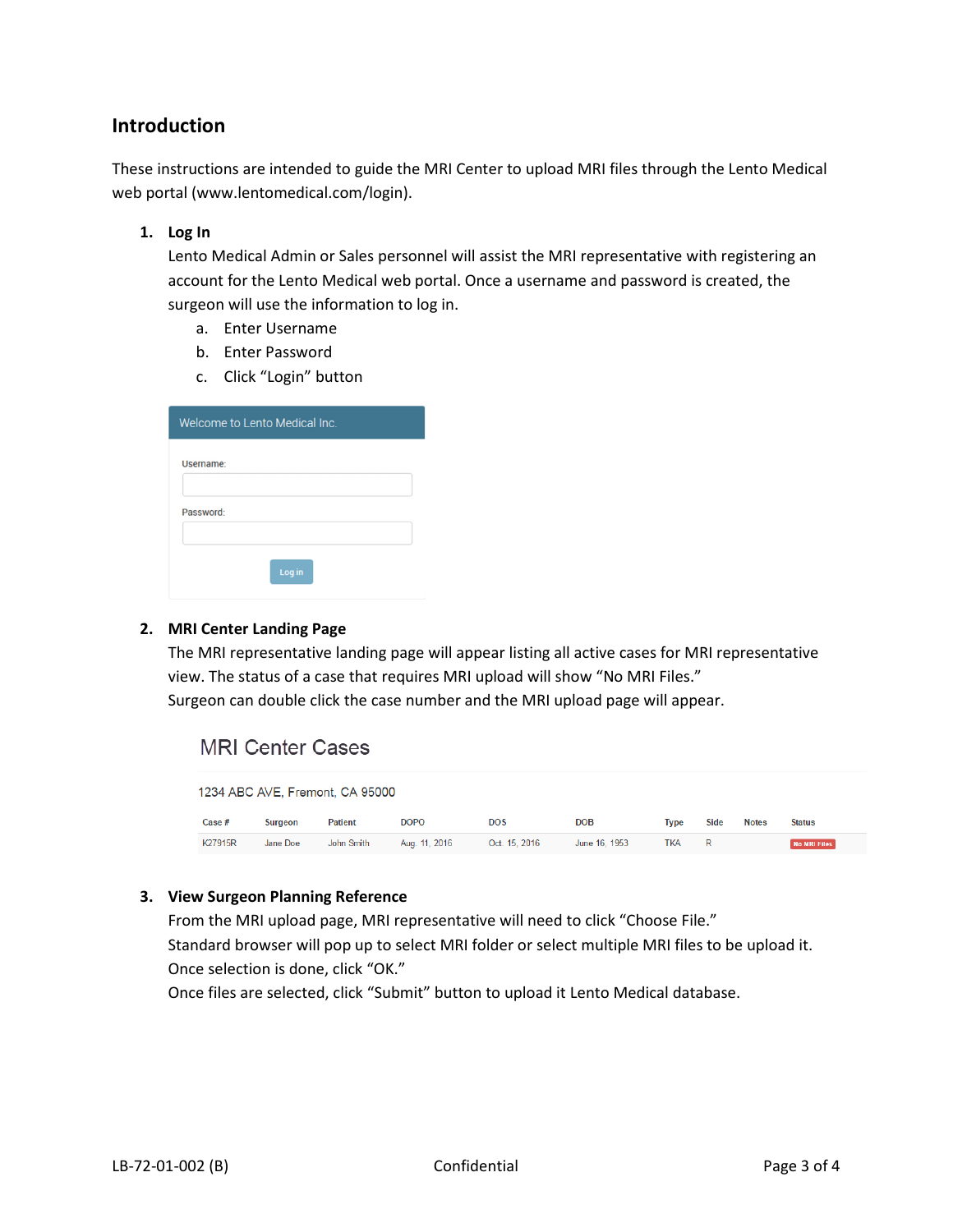## Introduction

These instructions are intended to guide the MRI Center to upload MRI files through the Lento Medical web portal (www.lentomedical.com/login).

#### 1. Log In

Lento Medical Admin or Sales personnel will assist the MRI representative with registering an account for the Lento Medical web portal. Once a username and password is created, the surgeon will use the information to log in.

- a. Enter Username
- b. Enter Password
- c. Click "Login" button

| Welcome to Lento Medical Inc. |        |  |
|-------------------------------|--------|--|
| Username:                     |        |  |
|                               |        |  |
| Password:                     |        |  |
|                               | Log in |  |

#### 2. MRI Center Landing Page

The MRI representative landing page will appear listing all active cases for MRI representative view. The status of a case that requires MRI upload will show "No MRI Files." Surgeon can double click the case number and the MRI upload page will appear.

## **MRI Center Cases**

| 1234 ABC AVE, Fremont, CA 95000 |          |                |               |               |               |             |      |              |                     |
|---------------------------------|----------|----------------|---------------|---------------|---------------|-------------|------|--------------|---------------------|
| Case #                          | Surgeon  | <b>Patient</b> | <b>DOPO</b>   | <b>DOS</b>    | <b>DOB</b>    | <b>Type</b> | Side | <b>Notes</b> | <b>Status</b>       |
| K27915R                         | Jane Doe | John Smith     | Aug. 11, 2016 | Oct. 15, 2016 | June 16, 1953 | <b>TKA</b>  | R    |              | <b>No MRI Files</b> |

#### 3. View Surgeon Planning Reference

From the MRI upload page, MRI representative will need to click "Choose File." Standard browser will pop up to select MRI folder or select multiple MRI files to be upload it. Once selection is done, click "OK."

Once files are selected, click "Submit" button to upload it Lento Medical database.